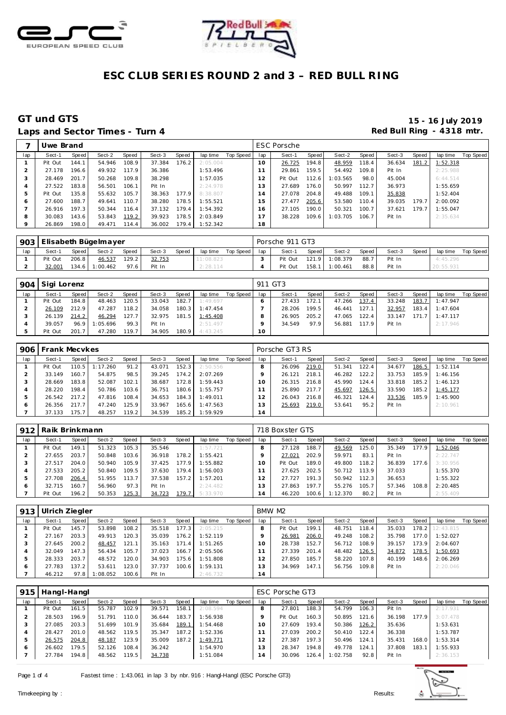



# **ESC CLUB SERIES ROUND 2 and 3 – RED BULL RING**

### Laps and Sector Times - Turn 4 **Example 20 and Sector Times - Turn 4 Red Bull Ring - 4318 mtr.**

# **GT und GTS 15 - 16 July 2019**

|              | Uwe Brand |       |        |       |        |       |          |           |     | <b>ESC Porsche</b> |       |          |       |        |       |          |           |
|--------------|-----------|-------|--------|-------|--------|-------|----------|-----------|-----|--------------------|-------|----------|-------|--------|-------|----------|-----------|
| lap          | Sect-1    | Speed | Sect-2 | Speed | Sect-3 | Speed | lap time | Top Speed | lap | Sect-1             | Speed | Sect-2   | Speed | Sect-3 | Speed | lap time | Top Speed |
|              | Pit Out   | 144.1 | 54.946 | 108.9 | 37.384 | 176.2 | 2:05.004 |           | 10  | 26.725             | 194.8 | 48.959   | 118.4 | 36.634 | 181.2 | 1:52.318 |           |
|              | 27.178    | 196.6 | 49.932 | 117.9 | 36.386 |       | 1:53.496 |           |     | 29.861             | 159.5 | 54.492   | 109.8 | Pit In |       | 2:25.988 |           |
| -1           | 28.469    | 201.7 | 50.268 | 109.8 | 38.298 |       | 1:57.035 |           | 12  | Pit Out            | 112.6 | 1:03.565 | 98.0  | 45.004 |       | 6:44.514 |           |
|              | 27.522    | 183.8 | 56.501 | 106.1 | Pit In |       | 2:24.978 |           | 13  | 27.689             | 176.0 | 50.997   | 112.7 | 36.973 |       | 1:55.659 |           |
| b            | Pit Out   | 135.8 | 55.632 | 105.7 | 38.363 | 177.9 | 8:38.807 |           | 4   | 27.078             | 204.8 | 49.488   | 109.1 | 35.838 |       | 1:52.404 |           |
| <sub>0</sub> | 27.600    | 188.7 | 49.641 | 110.7 | 38.280 | 178.5 | 1:55.521 |           | 5   | 27.477             | 205.6 | 53.580   | 110.4 | 39.035 | 179.7 | 2:00.092 |           |
|              | 26.916    | 197.3 | 50.344 | 116.4 | 37.132 | 179.4 | 1:54.392 |           | 6   | 27.105             | 190.0 | 50.321   | 100.7 | 37.621 | 179.7 | 1:55.047 |           |
| 8            | 30.083    | 143.6 | 53.843 | 119.2 | 39.923 | 178.5 | 2:03.849 |           |     | 38.228             | 109.6 | 1:03.705 | 106.7 | Pit In |       | 2:35.634 |           |
| $\circ$      | 26.869    | 198.0 | 49.471 | 114.4 | 36.002 | 179.4 | 1:52.342 |           | 18  |                    |       |          |       |        |       |          |           |

|     | 903 Elisabeth Bügelmayer |       |          |       |        |       |           |           |     | Porsche 911 GT3 |       |          |       |        |              |           |           |
|-----|--------------------------|-------|----------|-------|--------|-------|-----------|-----------|-----|-----------------|-------|----------|-------|--------|--------------|-----------|-----------|
| lap | Sect-1                   | Speed | Sect-2   | Speed | Sect-3 | Speed | lap time  | Top Speed | lap | Sect-1          | Speed | Sect-2   | Speed | Sect-3 | <b>Speed</b> | lap time  | Top Speed |
|     | Pit Out                  | 206.8 | 46.537   | 129.2 | 32.753 |       | 11:08.823 |           |     | Pit Out         | 121.9 | 1:08.379 | 88.7  | Pit In |              | 4:45.296  |           |
|     | 32.001                   | 134.6 | 1:00.462 | 97.6  | Pit In |       | 2:28.114  |           |     | Pit Out         | 158.1 | 1:00.461 | 88.8  | Pit In |              | 20:55.931 |           |

| 904 | Sigi Lorenz |       |          |       |        |       |          |           | 911 GT3 |        |       |        |       |        |         |          |           |
|-----|-------------|-------|----------|-------|--------|-------|----------|-----------|---------|--------|-------|--------|-------|--------|---------|----------|-----------|
| lap | Sect-1      | Speed | Sect-2   | Speed | Sect-3 | Speed | lap time | Top Speed | lap     | Sect-1 | Speed | Sect-2 | Speed | Sect-3 | Speed   | lap time | Top Speed |
|     | Pit Out     | 184.8 | 48.463   | 120.5 | 33.043 | 182.7 | 1:49.697 |           |         | 27.433 | 172.1 | 47.266 | 137.4 | 33.248 | 183.7   | 1:47.947 |           |
|     | 26.109      | 212.9 | 47.287   | 118.2 | 34.058 | 180.3 | 1:47.454 |           |         | 28.206 | 199.5 | 46.441 | 127.1 | 32.957 | $183.4$ | 1:47.604 |           |
|     | 26.139      | 214.2 | 46.294   | 127.7 | 32.975 | 181.5 | 1:45.408 |           |         | 26.905 | 205.2 | 47.065 | 122.4 | 33.147 | 171.7   | 1:47.117 |           |
|     | 39.057      | 96.9  | 1:05.696 | 99.3  | Pit In |       | 2:51.497 |           |         | 34.549 | 97.9  | 56.881 | 117.9 | Pit In |         | 2:17.946 |           |
|     | Pit Out     | 201.7 | 47.280   | 119.7 | 34.905 | 180.9 | 4:43.245 |           | 10      |        |       |        |       |        |         |          |           |

| 906 | Frank Mecykes |       |          |       |        |       |          |           |     | Porsche GT3 RS |       |        |       |        |       |          |           |
|-----|---------------|-------|----------|-------|--------|-------|----------|-----------|-----|----------------|-------|--------|-------|--------|-------|----------|-----------|
| lap | Sect-1        | Speed | Sect-2   | Speed | Sect-3 | Speed | lap time | Top Speed | lap | Sect-1         | Speed | Sect-2 | Speed | Sect-3 | Speed | lap time | Top Speed |
|     | Pit Out       | 110.5 | 1:17.260 | 91.2  | 43.071 | 152.3 | 2:50.556 |           |     | 26.096         | 219.0 | 51.341 | 122.4 | 34.677 | 186.5 | 1:52.114 |           |
|     | 33.149        | 160.7 | 54.875   | 98.5  | 39.245 | 174.2 | 2:07.269 |           |     | 26.121         | 218.1 | 46.282 | 122.2 | 33.753 | 185.9 | 1:46.156 |           |
|     | 28.669        | 183.8 | 52.087   | 102.1 | 38.687 | 172.8 | 1:59.443 |           |     | 26.315         | 216.8 | 45.990 | 124.4 | 33.818 | 185.2 | 1:46.123 |           |
|     | 28.220        | 198.4 | 50.786   | 103.6 | 36.751 | 180.6 | 1:55.757 |           |     | 25.890         | 217.7 | 45.697 | 126.5 | 33.590 | 185.2 | 1:45.177 |           |
| ь   | 26.542        | 217.2 | 47.816   | 108.4 | 34.653 | 184.3 | 1:49.011 |           |     | 26.043         | 216.8 | 46.321 | 124.4 | 33.536 | 185.9 | 1:45.900 |           |
| 6   | 26.356        | 217.7 | 47.240   | 125.9 | 33.967 | 165.6 | 1:47.563 |           | 3   | 25.693         | 219.0 | 53.641 | 95.2  | Pit In |       | 2:10.961 |           |
|     | 37.133        | 175.7 | 48.257   | 119.2 | 34.539 | 185.2 | 1:59.929 |           | 14  |                |       |        |       |        |       |          |           |

| 912 | Raik Brinkmann |       |        |       |        |       |          |           |     | 718 Boxster GTS |       |          |       |        |       |          |           |
|-----|----------------|-------|--------|-------|--------|-------|----------|-----------|-----|-----------------|-------|----------|-------|--------|-------|----------|-----------|
| lap | Sect-1         | Speed | Sect-2 | Speed | Sect-3 | Speed | lap time | Top Speed | lap | Sect-1          | Speed | Sect-2   | Speed | Sect-3 | Speed | lap time | Top Speed |
|     | Pit Out        | 149.1 | 51.323 | 105.3 | 35.546 |       | 1:57.721 |           |     | 27.128          | 188.7 | 49.569   | 125.0 | 35.349 | 177.9 | 1:52.046 |           |
|     | 27.655         | 203.7 | 50.848 | 103.6 | 36.918 | 178.2 | 1:55.421 |           |     | 27.021          | 202.9 | 59.971   | 83.1  | Pit In |       | 2:22.747 |           |
|     | 27.517         | 204.0 | 50.940 | 105.9 | 37.425 | 177.9 | 1:55.882 |           |     | Pit Out         | 189.0 | 49.800   | 118.2 | 36.839 | 177.6 | 3:30.956 |           |
|     | 27.533         | 205.2 | 50.840 | 109.5 | 37.630 | 179.4 | 1:56.003 |           |     | 27.625          | 202.5 | 50.712   | 113.9 | 37.033 |       | 1:55.370 |           |
|     | 27.708         | 206.4 | 51.955 | 113.7 | 37.538 | 157.2 | 1:57.201 |           |     | 27.727          | 191.3 | 50.942   | 112.3 | 36.653 |       | 1:55.322 |           |
|     | 32.715         | 160.7 | 56.960 | 97.3  | Pit In |       | 2:24.482 |           | 3   | 27.863          | 197.7 | 55.276   | 105.7 | 57.346 | 108.8 | 2:20.485 |           |
|     | Pit Out        | 196.2 | 50.353 | 125.3 | 34.723 | 179.7 | 5:33.970 |           | 4   | 46.220          | 100.6 | 1:12.370 | 80.2  | Pit In |       | 2:55.409 |           |

| 913 | Ulrich Ziegler |       |         |       |        |       |          |           |     | BMW M2  |       |        |       |        |       |                 |           |
|-----|----------------|-------|---------|-------|--------|-------|----------|-----------|-----|---------|-------|--------|-------|--------|-------|-----------------|-----------|
| lap | Sect-1         | Speed | Sect-2  | Speed | Sect-3 | Speed | lap time | Top Speed | lap | Sect-1  | Speed | Sect-2 | Speed | Sect-3 | Speed | lap time        | Top Speed |
|     | Pit Out        | 145.7 | 53.898  | 108.2 | 35.518 | 177.3 | 2:05.215 |           |     | Pit Out | 199.1 | 48.751 | 118.4 | 35.033 |       | 178.2 12:43.815 |           |
|     | 27.167         | 203.3 | 49.913  | 120.3 | 35.039 | 176.2 | 1:52.119 |           |     | 26.981  | 206.0 | 49.248 | 108.2 | 35.798 | 177.0 | 1:52.027        |           |
|     | 27.645         | 200.2 | 48.457  | 121.1 | 35.163 | 171.4 | 1:51.265 |           |     | 28.738  | 152.7 | 56.712 | 108.9 | 39.157 | 173.9 | 2:04.607        |           |
| 4   | 32.049         | 147.3 | 56.434  | 105.7 | 37.023 | 166.7 | 2:05.506 |           |     | 27.339  | 201.4 | 48.482 | 126.5 | 34.872 | 178.5 | 1:50.693        |           |
| ь   | 28.333         | 203.7 | 48.572  | 120.0 | 34.903 | 175.6 | 1:51.808 |           |     | 27.850  | 185.7 | 58.220 | 107.8 | 40.199 | 148.6 | 2:06.269        |           |
| O   | 27.783         | 137.2 | 53.611  | 123.0 | 37.737 | 100.6 | 1:59.131 |           | 3   | 34.969  | 147.1 | 56.756 | 109.8 | Pit In |       | 2:20.046        |           |
|     | 46.212         | 97.8  | :08.052 | 100.6 | Pit In |       | 2:46.732 |           | 14  |         |       |        |       |        |       |                 |           |

| 915          | Hangl-Hangl |       |        |       |        |       |          |           |        | ESC Porsche GT3 |       |          |       |        |       |          |           |
|--------------|-------------|-------|--------|-------|--------|-------|----------|-----------|--------|-----------------|-------|----------|-------|--------|-------|----------|-----------|
| lap          | Sect-1      | Speed | Sect-2 | Speed | Sect-3 | Speed | lap time | Top Speed | lap    | Sect-1          | Speed | Sect-2   | Speed | Sect-3 | Speed | lap time | Top Speed |
|              | Pit Out     | 161.5 | 55.787 | 102.9 | 39.571 | 158.1 | 2:08.594 |           |        | 27.801          | 188.3 | 54.799   | 106.3 | Pit In |       | 2:17.931 |           |
|              | 28.503      | 196.9 | 51.791 | 110.0 | 36.644 | 183.7 | 1:56.938 |           |        | Pit Out         | 160.3 | 50.895   | 121.6 | 36.198 | 177.9 | 3:07.478 |           |
| $\cdot$      | 27.085      | 203.3 | 51.699 | 101.9 | 35.684 | 189.1 | 1:54.468 |           | 10     | 27.609          | 193.4 | 50.386   | 126.2 | 35.636 |       | 1:53.631 |           |
|              | 28.427      | 201.0 | 48.562 | 119.5 | 35.347 | 187.2 | 1:52.336 |           |        | 27.039          | 200.2 | 50.410   | 122.4 | 36.338 |       | 1:53.787 |           |
| ь            | 26.575      | 204.8 | 48.187 | 123.9 | 35.009 | 187.2 | 1:49.771 |           |        | 27.387          | 197.3 | 50.496   | 124.1 | 35.431 | 168.0 | 1:53.314 |           |
| <sub>0</sub> | 26.602      | 179.5 | 52.126 | 108.4 | 36.242 |       | 1:54.970 |           | 3      | 28.347          | 194.8 | 49.778   | 124.1 | 37.808 | 183.1 | 1:55.933 |           |
|              | 27.784      | 194.8 | 48.562 | 119.5 | 34.738 |       | 1:51.084 |           | $^1$ 4 | 30.096          | 126.4 | 1:02.758 | 92.8  | Pit In |       | 2:36.153 |           |

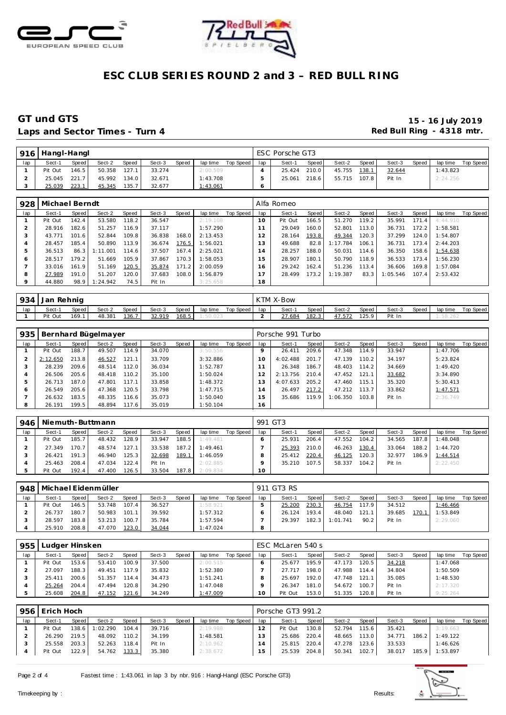



# **ESC CLUB SERIES ROUND 2 and 3 – RED BULL RING**

### GT und GTS 16 July 2019<br>
Laps and Sector Times - Turn 4 Red Bull Ring - 4318 mtr. Laps and Sector Times - Turn 4

| 916 | Hangl-Hangl |       |        |              |        |       |          |           |     | ESC Porsche GT3 |       |        |       |        |       |          |           |
|-----|-------------|-------|--------|--------------|--------|-------|----------|-----------|-----|-----------------|-------|--------|-------|--------|-------|----------|-----------|
| lap | Sect-1      | Speed | Sect-2 | <b>Speed</b> | Sect-3 | Speed | lap time | Top Speed | lap | Sect-1          | Speed | Sect-2 | Speed | Sect-3 | Speed | lap time | Top Speed |
|     | Pit Out     | 146.5 | 50.358 | 127.1        | 33.274 |       | 2:00.509 |           |     | 25.424          | 210.0 | 45.755 | 138.1 | 32.644 |       | 1:43.823 |           |
|     | 25.045      | 221.7 | 45.992 | 134.0        | 32.671 |       | 1:43.708 |           |     | 25.061          | 218.6 | 55.715 | 107.8 | Pit In |       | 2:24.256 |           |
| ت   | 25.039      | 223.1 | 45.345 | 135.7        | 32.677 |       | 1:43.061 |           |     |                 |       |        |       |        |       |          |           |

| 928     | Michael Berndt |       |          |       |        |       |          |           |                | Alfa Romeo |       |          |       |          |       |          |           |
|---------|----------------|-------|----------|-------|--------|-------|----------|-----------|----------------|------------|-------|----------|-------|----------|-------|----------|-----------|
| lap     | Sect-1         | Speed | Sect-2   | Speed | Sect-3 | Speed | lap time | Top Speed | lap            | Sect-1     | Speed | Sect-2   | Speed | Sect-3   | Speed | lap time | Top Speed |
|         | Pit Out        | 142.4 | 53.580   | 118.2 | 36.547 |       | 2:19.108 |           | $10^{-}$       | Pit Out    | 166.5 | 51.270   | 119.2 | 35.991   | 171.4 | 4:44.910 |           |
|         | 28.916         | 182.6 | 51.257   | 116.9 | 37.117 |       | 1:57.290 |           |                | 29.049     | 160.0 | 52.801   | 113.0 | 36.731   | 172.2 | 1:58.581 |           |
|         | 43.771         | 101.6 | 52.844   | 109.8 | 36.838 | 168.0 | 2:13.453 |           | 2              | 28.164     | 193.8 | 49.344   | 120.3 | 37.299   | 124.0 | 1:54.807 |           |
| 4       | 28.457         | 185.4 | 50.890   | 113.9 | 36.674 | 176.5 | 1:56.021 |           | 3              | 49.688     | 82.8  | 1:17.784 | 106.1 | 36.731   | 173.4 | 2:44.203 |           |
|         | 36.513         | 86.3  | 1:11.001 | 114.6 | 37.507 | 167.4 | 2:25.021 |           | $\overline{4}$ | 28.257     | 188.0 | 50.031   | 114.6 | 36.350   | 158.6 | 1:54.638 |           |
| O       | 28.517         | 179.2 | 51.669   | 105.9 | 37.867 | 170.3 | 1:58.053 |           | 15             | 28.907     | 180.1 | 50.790   | 118.9 | 36.533   | 173.4 | 1:56.230 |           |
|         | 33.016         | 161.9 | 51.169   | 120.5 | 35.874 | 171.2 | 2:00.059 |           | 6              | 29.242     | 162.4 | 51.236   | 113.4 | 36.606   | 169.8 | 1:57.084 |           |
| 8       | 27.989         | 191.0 | 51.207   | 120.0 | 37.683 | 108.0 | 1:56.879 |           |                | 28.499     | 173.2 | 1:19.387 | 83.3  | 1:05.546 | 107.4 | 2:53.432 |           |
| $\circ$ | 44.880         | 98.9  | 1:24.942 | 74.5  | Pit In |       | 3:25.658 |           | 18             |            |       |          |       |          |       |          |           |

|     | 934 Jan Rehnig |       |        |       |        |       |          |           |     | KTM X-Bow |       |        |       |        |       |          |           |
|-----|----------------|-------|--------|-------|--------|-------|----------|-----------|-----|-----------|-------|--------|-------|--------|-------|----------|-----------|
| lap | Sect-1         | Speed | Sect-2 | Speed | Sect-3 | Speed | lap time | Top Speed | lap | Sect-1    | Speed | Sect-2 | Speed | Sect-3 | Speed | lap time | Top Speed |
|     | Pit Out        | 169.1 | 48.381 | 136.7 | 32.919 | 168.5 | 1:50.023 |           |     | 27.684    | 182.3 | 47.572 | 125.9 | Pit In |       | : 58.262 |           |

| 935          |          |       | Bernhard Bügelmayer |       |        |       |          |           |     | Porsche 991 Turbo |       |          |       |        |       |          |           |
|--------------|----------|-------|---------------------|-------|--------|-------|----------|-----------|-----|-------------------|-------|----------|-------|--------|-------|----------|-----------|
| lap          | Sect-1   | Speed | Sect-2              | Speed | Sect-3 | Speed | lap time | Top Speed | lap | Sect-1            | Speed | Sect-2   | Speed | Sect-3 | Speed | lap time | Top Speed |
|              | Pit Out  | 188.7 | 49.507              | 114.9 | 34.070 |       | 3:50.556 |           |     | 26.411            | 209.6 | 47.348   | 114.9 | 33.947 |       | 1:47.706 |           |
|              | 2:12.650 | 213.8 | 46.527              | 121.1 | 33.709 |       | 3:32.886 |           | 10  | 4:02.488          | 201.7 | 47.139   | 110.2 | 34.197 |       | 5:23.824 |           |
|              | 28.239   | 209.6 | 48.514              | 112.0 | 36.034 |       | 1:52.787 |           |     | 26.348            | 186.7 | 48.403   | 114.2 | 34.669 |       | 1:49.420 |           |
|              | 26.506   | 205.6 | 48.418              | 110.2 | 35.100 |       | 1:50.024 |           |     | 2:13.756          | 210.4 | 47.452   | 121.1 | 33.682 |       | 3:34.890 |           |
| 5            | 26.713   | 187.0 | 47.801              | 117.1 | 33.858 |       | 1:48.372 |           | 3   | 4:07.633          | 205.2 | 47.460   | 115.1 | 35.320 |       | 5:30.413 |           |
| <sub>6</sub> | 26.549   | 205.6 | 47.368              | 120.5 | 33.798 |       | 1:47.715 |           | 4   | 26.497            | 217.2 | 47.212   | 113.7 | 33.862 |       | 1:47.571 |           |
|              | 26.632   | 183.5 | 48.335              | 116.6 | 35.073 |       | 1:50.040 |           | 5   | 35.686            | 119.9 | 1:06.350 | 103.8 | Pit In |       | 2:36.749 |           |
| 8            | 26.191   | 199.5 | 48.894              | 117.6 | 35.019 |       | 1:50.104 |           | 16  |                   |       |          |       |        |       |          |           |

| 946 |         |         | Niemuth-Buttmann |       |        |       |          |           | 991 GT3 |        |       |        |         |        |       |          |           |
|-----|---------|---------|------------------|-------|--------|-------|----------|-----------|---------|--------|-------|--------|---------|--------|-------|----------|-----------|
| lap | Sect-1  | Speed I | Sect-2           | Speed | Sect-3 | Speed | lap time | Top Speed | lap     | Sect-1 | Speed | Sect-2 | Speed I | Sect-3 | Speed | lap time | Top Speed |
|     | Pit Out | 185.7   | 48.432           | 128.9 | 33.947 | 188.5 | 1:49.481 |           |         | 25.931 | 206.4 | 47.552 | 104.2   | 34.565 | 187.8 | 1:48.048 |           |
|     | 27.349  | 170.7   | 48.574           | 127.1 | 33.538 | 187.2 | 1:49.461 |           |         | 25.393 | 210.0 | 46.263 | 130.4   | 33.064 | 188.2 | 1:44.720 |           |
|     | 26.421  | 191.3   | 46.940           | 125.3 | 32.698 | 189.1 | 1:46.059 |           |         | 25.412 | 220.4 | 46.125 | 120.3   | 32.977 | 186.9 | 1:44.514 |           |
|     | 25.463  | 208.4   | 47.034           | 122.4 | Pit In |       | 2:02.885 |           |         | 35.210 | 107.5 | 58.337 | 104.2   | Pit In |       | 2:22.450 |           |
|     | Pit Out | 192.4   | 47.400           | 126.5 | 33.504 | 187.8 | 2:09.834 |           | 10      |        |       |        |         |        |       |          |           |

| 948 |         | Michael Eidenmüller<br><b>Speed</b><br>Sect-2<br>Speed<br>Speed<br>Sect-3<br>Sect-1<br>lap time<br>107.4<br>146.5<br>36.527<br>1:58.921<br>53.748<br>180.7<br>39.592<br>1:57.312<br>26.737<br>50.983<br>101.1<br>1:57.594 |        |       |        |  |          |           |     | 911 GT3 RS |       |          |       |        |       |          |           |
|-----|---------|---------------------------------------------------------------------------------------------------------------------------------------------------------------------------------------------------------------------------|--------|-------|--------|--|----------|-----------|-----|------------|-------|----------|-------|--------|-------|----------|-----------|
| lap |         |                                                                                                                                                                                                                           |        |       |        |  |          | Top Speed | lap | Sect-1     | Speed | Sect-2   | Speed | Sect-3 | Speed | lap time | Top Speed |
|     | Pit Out |                                                                                                                                                                                                                           |        |       |        |  |          |           |     | 25.200     | 230.3 | 46.754   | 117.9 | 34.512 |       | 1:46.466 |           |
|     |         |                                                                                                                                                                                                                           |        |       |        |  |          |           |     | 26.124     | 193.4 | 48.040   | 121.1 | 39.685 | 170.1 | 1:53.849 |           |
|     | 28.597  | 183.8                                                                                                                                                                                                                     | 53.213 | 100.7 | 35.784 |  |          |           |     | 29.397     | 182.3 | 1:01.741 | 90.2  | Pit In |       | 2:29.060 |           |
|     | 25.910  | 208.8                                                                                                                                                                                                                     | 47.070 | 123.0 | 34.044 |  | 1:47.024 |           | 8   |            |       |          |       |        |       |          |           |

| 955 | Ludger Hinsken |       |        |        |        |       |          |           |     | ESC McLaren 540 s |                    |        |       |        |       |          |           |
|-----|----------------|-------|--------|--------|--------|-------|----------|-----------|-----|-------------------|--------------------|--------|-------|--------|-------|----------|-----------|
| lap | Sect-1         | Speed | Sect-2 | Speed  | Sect-3 | Speed | lap time | Top Speed | lap | Sect-1            | Speed              | Sect-2 | Speed | Sect-3 | Speed | lap time | Top Speed |
|     | Pit Out        | 153.6 | 53.410 | 100.91 | 37.500 |       | 2:00.515 |           |     | 25.677            | 195.9              | 47.173 | 120.5 | 34.218 |       | 1:47.068 |           |
|     | 27.097         | 188.3 | 49.451 | 117.9  | 35.832 |       | 1:52.380 |           |     | 27 717            | 198.0              | 47.988 | 114.4 | 34.804 |       | 1:50.509 |           |
|     | 25.411         | 200.6 | 51.357 | 114.4  | 34.473 |       | 1:51.241 |           |     | 25.697            | 192.0              | 47.748 | 121.1 | 35.085 |       | 1:48.530 |           |
|     | 25.264         | 204.4 | 47.494 | 120.8  | 34.290 |       | 1:47.048 |           |     | 26.347            | 181.0              | 54.672 | 100.7 | Pit In |       | 2:17.320 |           |
|     | 25.608         | 204.8 | 47.152 | 121.6  | 34.249 |       | 1:47.009 |           | 10  | Pit Out           | 153.0 <sub>1</sub> | 51.335 | 120.8 | Pit In |       | 9:25.264 |           |

|                 |          |       |        |       |          |                                  | Porsche GT3 991.2 |       |        |       |        |       |          |           |
|-----------------|----------|-------|--------|-------|----------|----------------------------------|-------------------|-------|--------|-------|--------|-------|----------|-----------|
| Speed           | Sect-2   | Speed | Sect-3 | Speed | lap time | lap                              | Sect-1            | Speed | Sect-2 | Speed | Sect-3 | Speed | lap time | Top Speed |
| 138.6           | 1:02.290 | 104.4 | 39.716 |       |          |                                  | Pit Out           | 130.8 | 52.794 | 115.6 | 35.421 |       | 3:19.663 |           |
| 219.5<br>26.290 | 48.092   | 110.2 | 34.199 |       | 1:48.581 | 3                                | 25.686            | 220.4 | 48.665 | 113.0 | 34.771 | 186.2 | 1:49.122 |           |
| 203.3           | 52.263   | 118.4 | Pit In |       |          |                                  | 25.815            | 220.4 | 47.278 | 123.6 | 33.533 |       | 1:46.626 |           |
| 122.9           | 54.762   | 133.3 | 35.380 |       |          | 15                               | 25.539            | 204.8 | 50.341 | 102.7 | 38.017 |       | 1:53.897 |           |
|                 |          |       |        |       |          | 2:19.988<br>2:10.962<br>2:38.672 | Top Speed         |       |        |       |        |       | 185.9    |           |

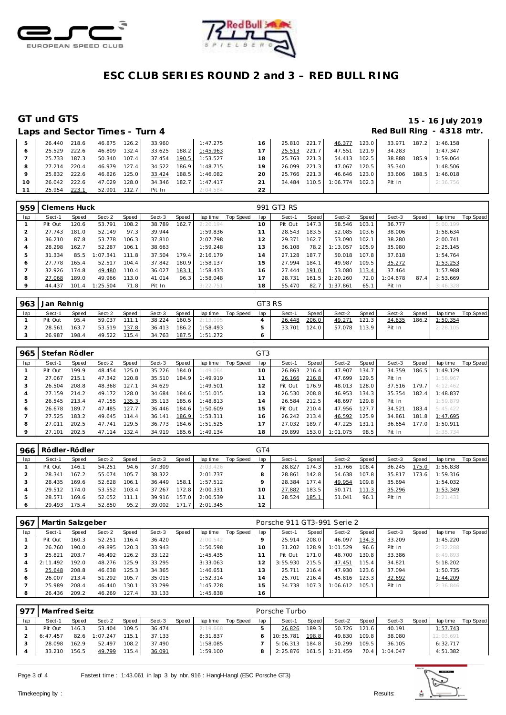



# **ESC CLUB SERIES ROUND 2 and 3 – RED BULL RING**

### **GT und GTS 15 - 16 July 2019** Red Bull Ring - 4318 mtr.

|  | Laps and Sector Times - Turn 4 |  |
|--|--------------------------------|--|
|  |                                |  |

|    | 26.440 | 218.6 | 46.875 | 126.2 | 33.960 |       | 1:47.275 | 16 | 25.810 | 221.7     | 46.377           | 123.0 | 33.971 |       | $187.2$ 1:46.158 |  |
|----|--------|-------|--------|-------|--------|-------|----------|----|--------|-----------|------------------|-------|--------|-------|------------------|--|
|    | 25.529 | 222.6 | 46.809 | 132.4 | 33.625 | 188.2 | 1:45.963 |    | 25.513 | 221.7     | 47.551 121.9     |       | 34.283 |       | 1:47.347         |  |
|    | 25.733 | 187.3 | 50.340 | 107.4 | 37.454 | 190.5 | 1:53.527 | 18 | 25.763 | $221.3$ J | 54.413           | 102.5 | 38.888 | 185.9 | 1:59.064         |  |
|    | 27.214 | 220.4 | 46.979 | 127.4 | 34.522 | 186.9 | 1:48.715 | 19 | 26.099 | 221.3     | 47.067           | 120.5 | 35.340 |       | 1:48.506         |  |
|    | 25.832 | 222.6 | 46.826 | 125.0 | 33.424 | 188.5 | 1:46.082 | 20 | 25.766 | 221.3     | 46.646           | 123.0 | 33.606 | 188.5 | 1:46.018         |  |
| 10 | 26.042 | 222.6 | 47.029 | 128.0 | 34.346 | 182.7 | 1:47.417 | 21 | 34.484 | 110.5     | $1:06.774$ 102.3 |       | Pit In |       | 2:36.756         |  |
|    | 25.954 | 223.1 | 52.901 | 112.7 | Pit In |       | 2:04.584 | 22 |        |           |                  |       |        |       |                  |  |

| 959 | Clemens Huck |       |          |       |        |       |          |           |                     | 991 GT3 RS |       |          |       |          |       |          |           |
|-----|--------------|-------|----------|-------|--------|-------|----------|-----------|---------------------|------------|-------|----------|-------|----------|-------|----------|-----------|
| lap | Sect-1       | Speed | Sect-2   | Speed | Sect-3 | Speed | lap time | Top Speed | lap                 | Sect-1     | Speed | Sect-2   | Speed | Sect-3   | Speed | lap time | Top Speed |
|     | Pit Out      | 120.6 | 53.791   | 108.2 | 38.789 | 162.7 | 2:20.194 |           | 10                  | Pit Out    | 147.3 | 58.546   | 103.1 | 36.777   |       | 5:00.199 |           |
|     | 27.743       | 181.0 | 52.149   | 97.3  | 39.944 |       | 1:59.836 |           | 11                  | 28.543     | 183.5 | 52.085   | 103.6 | 38,006   |       | 1:58.634 |           |
| 3   | 36.210       | 87.8  | 53.778   | 106.3 | 37.810 |       | 2:07.798 |           | 12                  | 29.371     | 162.7 | 53.090   | 102.1 | 38.280   |       | 2:00.741 |           |
| 4   | 28.298       | 162.7 | 52.287   | 106.1 | 38.663 |       | 1:59.248 |           | 13                  | 36.108     | 78.2  | 1:13.057 | 105.9 | 35.980   |       | 2:25.145 |           |
| 5   | 31.334       | 85.5  | : 07.341 | 111.8 | 37.504 | 179.4 | 2:16.179 |           | и<br>$\overline{4}$ | 27.128     | 187.7 | 50.018   | 107.8 | 37.618   |       | 1:54.764 |           |
| O   | 27.778       | 165.4 | 52.517   | 104.4 | 37.842 | 180.9 | 1:58.137 |           | 15                  | 27.994     | 184.1 | 49.987   | 109.5 | 35.272   |       | 1:53.253 |           |
|     | 32.926       | 174.8 | 49.480   | 110.4 | 36.027 | 183.1 | 1:58.433 |           | 16                  | 27.444     | 191.0 | 53.080   | 113.4 | 37.464   |       | 1:57.988 |           |
| 8   | 27.068       | 189.0 | 49.966   | 113.0 | 41.014 | 96.3  | 1:58.048 |           | 17                  | 28.731     | 161.5 | 1:20.260 | 72.0  | 1:04.678 | 87.4  | 2:53.669 |           |
| 9   | 44.437       | 101.4 | : 25.504 | 71.8  | Pit In |       | 3:22.751 |           | 18                  | 55.470     | 82.7  | 1:37.861 | 65.1  | Pit In   |       | 3:46.328 |           |

|     | 963   Jan Rehnig |       |        |       |        |       |          |           | GT3 RS |        |       |        |       |        |       |          |           |
|-----|------------------|-------|--------|-------|--------|-------|----------|-----------|--------|--------|-------|--------|-------|--------|-------|----------|-----------|
| lap | Sect-1           | Speed | Sect-2 | Speed | Sect-3 | Speed | lap time | Top Speed | lap    | Sect-1 | Speed | Sect-2 | Speed | Sect-3 | Speed | lap time | Top Speed |
|     | Pit Out          | 95.4  | 59.037 | 111.1 | 38.224 | 160.5 | 2:13.095 |           |        | 26.448 | 206.0 | 49.271 | 121.3 | 34.635 | 186.2 | 1:50.354 |           |
|     | 28.561           | 163.7 | 53.519 | 137.8 | 36.413 | 186.2 | 1:58.493 |           |        | 33.701 | 124.0 | 57.078 | 113.9 | Pit In |       | 2:28.105 |           |
|     | 26.987           | 198.4 | 49.522 | 115.4 | 34.763 | 187.5 | 1:51.272 |           |        |        |       |        |       |        |       |          |           |

| 965     | Stefan Rödler |       |        |       |        |       |          |           | GT <sub>3</sub> |         |       |          |       |        |       |          |           |
|---------|---------------|-------|--------|-------|--------|-------|----------|-----------|-----------------|---------|-------|----------|-------|--------|-------|----------|-----------|
| lap     | Sect-1        | Speed | Sect-2 | Speed | Sect-3 | Speed | lap time | Top Speed | lap             | Sect-1  | Speed | Sect-2   | Speed | Sect-3 | Speed | lap time | Top Speed |
|         | Pit Out       | 199.9 | 48.454 | 125.0 | 35.226 | 184.0 | 1:49.064 |           | 10              | 26.863  | 216.4 | 47.907   | 134.7 | 34.359 | 186.5 | 1:49.129 |           |
|         | 27.067        | 215.1 | 47.342 | 120.8 | 35.510 | 184.9 | 1:49.919 |           |                 | 26.166  | 216.8 | 47.699   | 129.5 | Pit In |       | 1:58.967 |           |
| 3       | 26.504        | 208.8 | 48.368 | 127.1 | 34.629 |       | 1:49.501 |           | 12              | Pit Out | 176.9 | 48.013   | 128.0 | 37.516 | 179.7 | 4:12.462 |           |
| 4       | 27.159        | 214.2 | 49.172 | 128.0 | 34.684 | 184.6 | 1:51.015 |           | 13              | 26.530  | 208.8 | 46.953   | 134.3 | 35.354 | 182.4 | 1:48.837 |           |
| 5       | 26.545        | 213.4 | 47.155 | 135.3 | 35.113 | 185.6 | 1:48.813 |           | $\overline{14}$ | 26.584  | 212.5 | 48.697   | 129.8 | Pit In |       | 1:59.879 |           |
| 6       | 26.678        | 189.7 | 47.485 | 127.7 | 36.446 | 184.6 | 1:50.609 |           | 15              | Pit Out | 210.4 | 47.956   | 127.7 | 34.521 | 183.4 | 5:45.422 |           |
|         | 27.525        | 183.2 | 49.645 | 114.4 | 36.141 | 186.9 | 1:53.311 |           | 16              | 26.242  | 213.4 | 46.592   | 125.9 | 34.861 | 181.8 | 1:47.695 |           |
| 8       | 27.011        | 202.5 | 47.741 | 129.5 | 36.773 | 184.6 | 1:51.525 |           |                 | 27.032  | 189.7 | 47.225   | 131.1 | 36.654 | 177.0 | 1:50.911 |           |
| $\circ$ | 27.101        | 202.5 | 47.114 | 132.4 | 34.919 | 185.6 | 1:49.134 |           | 18              | 29.899  | 153.0 | 1:01.075 | 98.5  | Pit In |       | 2:35.734 |           |

| 966 | Rödler-Rödler |       |        |       |        |       |          |           | GT4 |        |                    |        |       |        |       |           |           |
|-----|---------------|-------|--------|-------|--------|-------|----------|-----------|-----|--------|--------------------|--------|-------|--------|-------|-----------|-----------|
| lap | Sect-1        | Speed | Sect-2 | Speed | Sect-3 | Speed | lap time | Top Speed | lap | Sect-1 | Speed              | Sect-2 | Speed | Sect-3 | Speed | lap time  | Top Speed |
|     | Pit Out       | 146.1 | 54.251 | 94.6  | 37.309 |       | 2:03.426 |           |     | 28.827 | 174.3 <sub>1</sub> | 51.766 | 108.4 | 36.245 | 175.0 | 1:56.838  |           |
|     | 28.341        | 167.2 | 55.074 | 105.7 | 38.322 |       | 2:01.737 |           |     | 28.861 | 142.8              | 54.638 | 107.8 | 35.817 | 173.6 | 1:59.316  |           |
|     | 28.435        | 169.6 | 52.628 | 106.1 | 36.449 | 158.1 | 1:57.512 |           |     | 28.384 | 177.4              | 49.954 | 109.8 | 35.694 |       | 1:54.032  |           |
|     | 29.512        | 174.0 | 53.552 | 103.4 | 37.267 | 172.8 | 2:00.331 |           | O   | 27.882 | 183.5              | 50.171 | 111.3 | 35.296 |       | 1:53.349  |           |
|     | 28.571        | 169.6 | 52.052 | 111.1 | 39.916 | 157.0 | 2:00.539 |           |     | 28.524 | 185.1              | 51.041 | 96.1  | Pit In |       | 2: 21.431 |           |
|     | 29.493        | 175.4 | 52.850 | 95.2  | 39.002 | 171.7 | 2:01.345 |           | 12  |        |                    |        |       |        |       |           |           |

| 967 | Martin Salzgeber |       |        |       |        |       |          |           |          | Porsche 911 GT3-991 Serie 2 |       |          |       |        |       |          |           |
|-----|------------------|-------|--------|-------|--------|-------|----------|-----------|----------|-----------------------------|-------|----------|-------|--------|-------|----------|-----------|
| lap | Sect-1           | Speed | Sect-2 | Speed | Sect-3 | Speed | lap time | Top Speed | lap      | Sect-1                      | Speed | Sect-2   | Speed | Sect-3 | Speed | lap time | Top Speed |
|     | Pit Out          | 160.3 | 52.251 | 116.4 | 36.420 |       | 2:00.542 |           |          | 25.914                      | 208.0 | 46.097   | 134.3 | 33.209 |       | 1:45.220 |           |
|     | 26.760           | 190.0 | 49.895 | 120.3 | 33.943 |       | 1:50.598 |           | $\Omega$ | 31.202                      | 128.9 | 1:01.529 | 96.6  | Pit In |       | 2:32.288 |           |
|     | 25.821           | 203.7 | 46.492 | 126.2 | 33.122 |       | 1:45.435 |           |          | Pit Out                     | 171.0 | 48.700   | 130.8 | 33.386 |       | 8:49.893 |           |
|     | 2:11.492         | 192.0 | 48.276 | 125.9 | 33.295 |       | 3:33.063 |           |          | 3:55.930                    | 215.5 | 47.451   | 115.4 | 34.821 |       | 5:18.202 |           |
|     | 25.648           | 208.8 | 46.638 | 125.3 | 34.365 |       | 1:46.651 |           | 13       | 25.711                      | 216.4 | 47.930   | 123.6 | 37.094 |       | 1:50.735 |           |
|     | 26.007           | 213.4 | 51.292 | 105.7 | 35.015 |       | 1:52.314 |           | 14       | 25.701                      | 216.4 | 45.816   | 123.3 | 32.692 |       | 1:44.209 |           |
|     | 25.989           | 208.4 | 46.440 | 130.1 | 33.299 |       | 1:45.728 |           | 15       | 34.738                      | 107.3 | 1:06.612 | 105.1 | Pit In |       | 2:36.846 |           |
| 8   | 26.436           | 209.2 | 46.269 | 127.4 | 33.133 |       | 1:45.838 |           | 16       |                             |       |          |       |        |       |          |           |

| 977 | Manfred Seitz |        |         |       |        |       |          |           |     | Porsche Turbo |       |                |                |               |       |           |           |
|-----|---------------|--------|---------|-------|--------|-------|----------|-----------|-----|---------------|-------|----------------|----------------|---------------|-------|-----------|-----------|
| lap | Sect-1        | Speed  | Sect-2  | Speed | Sect-3 | Speed | lap time | Top Speed | lap | Sect-1        | Speed | Sect-2         | Speed <b>i</b> | Sect-3        | Speed | lap time  | Top Speed |
|     | Pit Out       | 146.3  | 53.404  | 109.5 | 36.474 |       | 2:19.668 |           |     | 26.826        | 189.3 | 50.726         | 121.6          | 40.191        |       | 1:57.743  |           |
|     | 6:47.457      | 82.6   | :07.247 | 115.1 | 37.133 |       | 8:31.837 |           |     | 10:35.781     | 198.8 | 49.830         | 109.8          | 38.080        |       | 12:03.691 |           |
|     | 28.098        | 162.91 | 52.497  | 108.2 | 37.490 |       | 1:58.085 |           |     | 5:06.313      | 184.8 | 50.299         | 109.5          | 36.105        |       | 6:32.717  |           |
|     | 33.210        | 156.5  | 49.799  | 115.4 | 36.091 |       | 1:59.100 |           |     | 2:25.876      |       | 161.5 1:21.459 |                | 70.4 1:04.047 |       | 4:51.382  |           |